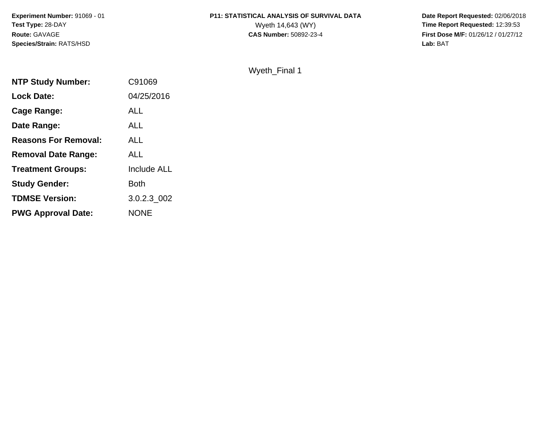**Experiment Number:** 91069 - 01**Test Type:** 28-DAY**Route:** GAVAGE**Species/Strain:** RATS/HSD

# **P11: STATISTICAL ANALYSIS OF SURVIVAL DATA**<br>Wyeth 14,643 (WY)

 **Date Report Requested:** 02/06/2018 Wyeth 14,643 (WY) **Time Report Requested:** 12:39:53<br>**CAS Number:** 50892-23-4 **Time Report Requested:** 12:39:53 **First Dose M/F:** 01/26/12 / 01/27/12<br>**Lab:** BAT **Lab:** BAT

Wyeth\_Final 1

| <b>NTP Study Number:</b>    | C91069             |
|-----------------------------|--------------------|
| <b>Lock Date:</b>           | 04/25/2016         |
| Cage Range:                 | ALL                |
| Date Range:                 | ALL                |
| <b>Reasons For Removal:</b> | <b>ALL</b>         |
| <b>Removal Date Range:</b>  | ALL                |
| <b>Treatment Groups:</b>    | <b>Include ALL</b> |
| <b>Study Gender:</b>        | Both               |
| <b>TDMSE Version:</b>       | 3.0.2.3 002        |
| <b>PWG Approval Date:</b>   | <b>NONE</b>        |
|                             |                    |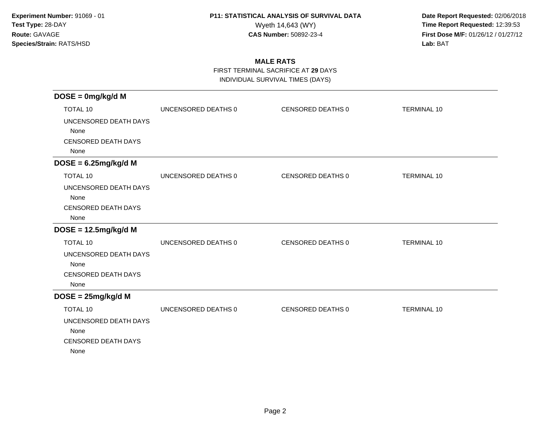**Date Report Requested:** 02/06/2018 Wyeth 14,643 (WY) **Time Report Requested:** 12:39:53<br>**CAS Number:** 50892-23-4 **Time Report Requested:** 12:39:53 **First Dose M/F:** 01/26/12 / 01/27/12<br>**Lab:** BAT **Lab:** BAT

### **MALE RATS**

FIRST TERMINAL SACRIFICE AT **29** DAYS

INDIVIDUAL SURVIVAL TIMES (DAYS)

| $DOSE = 0mg/kg/d M$                                                 |                     |                          |                    |
|---------------------------------------------------------------------|---------------------|--------------------------|--------------------|
| <b>TOTAL 10</b>                                                     | UNCENSORED DEATHS 0 | CENSORED DEATHS 0        | <b>TERMINAL 10</b> |
| UNCENSORED DEATH DAYS<br>None<br><b>CENSORED DEATH DAYS</b><br>None |                     |                          |                    |
| $DOSE = 6.25mg/kg/d M$                                              |                     |                          |                    |
| <b>TOTAL 10</b>                                                     | UNCENSORED DEATHS 0 | CENSORED DEATHS 0        | <b>TERMINAL 10</b> |
| UNCENSORED DEATH DAYS<br>None<br><b>CENSORED DEATH DAYS</b><br>None |                     |                          |                    |
| $DOSE = 12.5mg/kg/d M$                                              |                     |                          |                    |
| <b>TOTAL 10</b>                                                     | UNCENSORED DEATHS 0 | <b>CENSORED DEATHS 0</b> | <b>TERMINAL 10</b> |
| UNCENSORED DEATH DAYS<br>None<br><b>CENSORED DEATH DAYS</b><br>None |                     |                          |                    |
| $DOSE = 25mg/kg/d M$                                                |                     |                          |                    |
| TOTAL 10                                                            | UNCENSORED DEATHS 0 | CENSORED DEATHS 0        | <b>TERMINAL 10</b> |
| UNCENSORED DEATH DAYS<br>None<br><b>CENSORED DEATH DAYS</b><br>None |                     |                          |                    |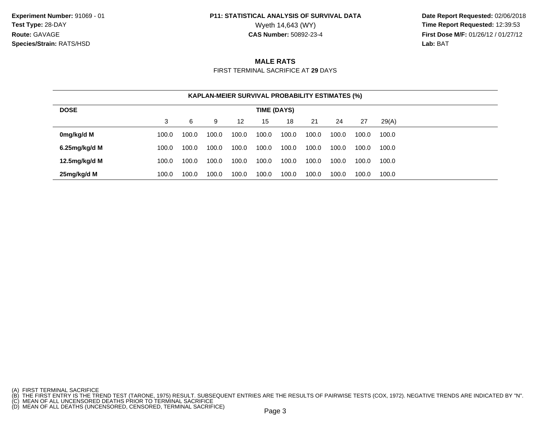**Date Report Requested:** 02/06/2018 Wyeth 14,643 (WY) **Time Report Requested:** 12:39:53<br>**CAS Number:** 50892-23-4 **Time Report Requested:** 12:39:53 **First Dose M/F:** 01/26/12 / 01/27/12<br>**Lab:** BAT **Lab:** BAT

#### **MALE RATS**

FIRST TERMINAL SACRIFICE AT **29** DAYS

| <b>KAPLAN-MEIER SURVIVAL PROBABILITY ESTIMATES (%)</b> |       |       |       |       |       |       |       |       |       |       |
|--------------------------------------------------------|-------|-------|-------|-------|-------|-------|-------|-------|-------|-------|
| <b>DOSE</b><br>TIME (DAYS)                             |       |       |       |       |       |       |       |       |       |       |
|                                                        | 3     | 6     | 9     | 12    | 15    | 18    | -21   | 24    | 27    | 29(A) |
| 0mg/kg/d M                                             | 100.0 | 100.0 | 100.0 | 100.0 | 100.0 | 100.0 | 100.0 | 100.0 | 100.0 | 100.0 |
| 6.25 $mg/kg/d$ M                                       | 100.0 | 100.0 | 100.0 | 100.0 | 100.0 | 100.0 | 100.0 | 100.0 | 100.0 | 100.0 |
| 12.5mg/kg/d M                                          | 100.0 | 100.0 | 100.0 | 100.0 | 100.0 | 100.0 | 100.0 | 100.0 | 100.0 | 100.0 |
| 25mg/kg/d M                                            | 100.0 | 100.0 | 100.0 | 100.0 | 100.0 | 100.0 | 100.0 | 100.0 | 100.0 | 100.0 |

<sup>(</sup>A) FIRST TERMINAL SACRIFICE<br>(B) THE FIRST ENTRY IS THE TREND TEST (TARONE, 1975) RESULT. SUBSEQUENT ENTRIES ARE THE RESULTS OF PAIRWISE TESTS (COX, 1972). NEGATIVE TRENDS ARE INDICATED BY "N".<br>(C) MEAN OF ALL UNCENSORED D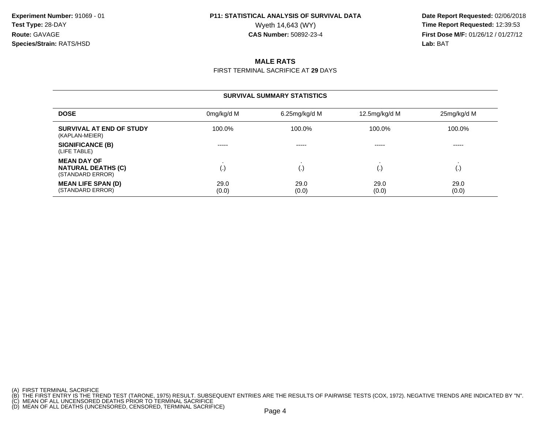**Date Report Requested:** 02/06/2018 Wyeth 14,643 (WY) **Time Report Requested:** 12:39:53<br>**CAS Number:** 50892-23-4 **Time Report Requested:** 12:39:53 **First Dose M/F:** 01/26/12 / 01/27/12<br>**Lab:** BAT **Lab:** BAT

### **MALE RATS**

FIRST TERMINAL SACRIFICE AT **29** DAYS

| <b>SURVIVAL SUMMARY STATISTICS</b>                                  |               |                  |                        |               |  |  |  |  |
|---------------------------------------------------------------------|---------------|------------------|------------------------|---------------|--|--|--|--|
| <b>DOSE</b>                                                         | 0mg/kg/d M    | $6.25$ mg/kg/d M | 12.5mg/kg/d M          | 25mg/kg/d M   |  |  |  |  |
| SURVIVAL AT END OF STUDY<br>(KAPLAN-MEIER)                          | 100.0%        | 100.0%           | 100.0%                 | 100.0%        |  |  |  |  |
| <b>SIGNIFICANCE (B)</b><br>(LIFE TABLE)                             | -----         | -----            | -----                  | -----         |  |  |  |  |
| <b>MEAN DAY OF</b><br><b>NATURAL DEATHS (C)</b><br>(STANDARD ERROR) | (.)           | (.)              | $\left( \cdot \right)$ | I.,           |  |  |  |  |
| <b>MEAN LIFE SPAN (D)</b><br>(STANDARD ERROR)                       | 29.0<br>(0.0) | 29.0<br>(0.0)    | 29.0<br>(0.0)          | 29.0<br>(0.0) |  |  |  |  |

<sup>(</sup>A) FIRST TERMINAL SACRIFICE<br>(B) THE FIRST ENTRY IS THE TREND TEST (TARONE, 1975) RESULT. SUBSEQUENT ENTRIES ARE THE RESULTS OF PAIRWISE TESTS (COX, 1972). NEGATIVE TRENDS ARE INDICATED BY "N".<br>(C) MEAN OF ALL UNCENSORED D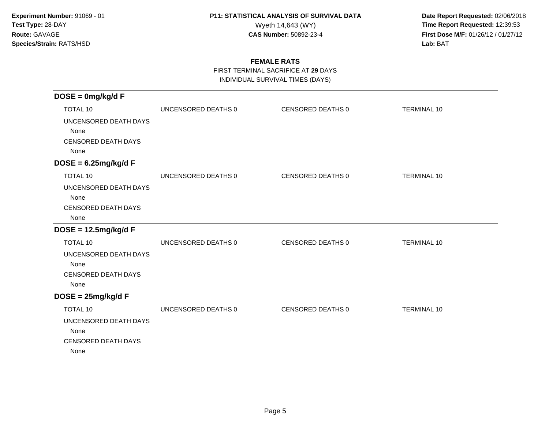**Date Report Requested:** 02/06/2018 Wyeth 14,643 (WY) **Time Report Requested:** 12:39:53<br>**CAS Number:** 50892-23-4 **Time Report Requested:** 12:39:53 **First Dose M/F:** 01/26/12 / 01/27/12<br>**Lab:** BAT **Lab:** BAT

### **FEMALE RATS**

FIRST TERMINAL SACRIFICE AT **29** DAYS

INDIVIDUAL SURVIVAL TIMES (DAYS)

| $DOSE = 0mg/kg/dF$                 |                     |                   |                    |
|------------------------------------|---------------------|-------------------|--------------------|
| TOTAL 10                           | UNCENSORED DEATHS 0 | CENSORED DEATHS 0 | <b>TERMINAL 10</b> |
| UNCENSORED DEATH DAYS              |                     |                   |                    |
| None                               |                     |                   |                    |
| <b>CENSORED DEATH DAYS</b><br>None |                     |                   |                    |
| $DOSE = 6.25mg/kg/dF$              |                     |                   |                    |
| <b>TOTAL 10</b>                    | UNCENSORED DEATHS 0 | CENSORED DEATHS 0 | <b>TERMINAL 10</b> |
| UNCENSORED DEATH DAYS              |                     |                   |                    |
| None                               |                     |                   |                    |
| <b>CENSORED DEATH DAYS</b><br>None |                     |                   |                    |
| $DOSE = 12.5mg/kg/dF$              |                     |                   |                    |
| <b>TOTAL 10</b>                    | UNCENSORED DEATHS 0 | CENSORED DEATHS 0 | <b>TERMINAL 10</b> |
| UNCENSORED DEATH DAYS              |                     |                   |                    |
| None                               |                     |                   |                    |
| <b>CENSORED DEATH DAYS</b>         |                     |                   |                    |
| None                               |                     |                   |                    |
| $DOSE = 25mg/kg/dF$                |                     |                   |                    |
| <b>TOTAL 10</b>                    | UNCENSORED DEATHS 0 | CENSORED DEATHS 0 | <b>TERMINAL 10</b> |
| UNCENSORED DEATH DAYS              |                     |                   |                    |
| None                               |                     |                   |                    |
| <b>CENSORED DEATH DAYS</b><br>None |                     |                   |                    |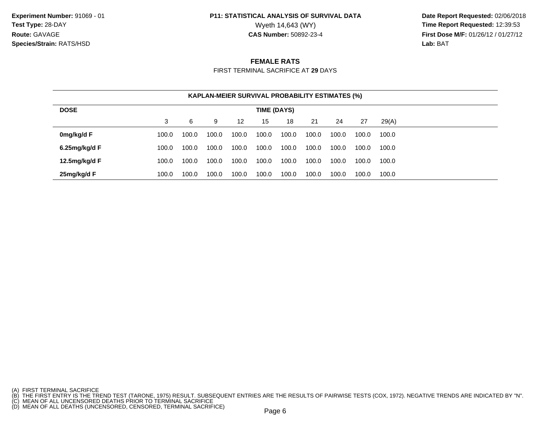**Date Report Requested:** 02/06/2018 Wyeth 14,643 (WY) **Time Report Requested:** 12:39:53<br>**CAS Number:** 50892-23-4 **Time Report Requested:** 12:39:53 **First Dose M/F:** 01/26/12 / 01/27/12<br>**Lab:** BAT **Lab:** BAT

#### **FEMALE RATS**

FIRST TERMINAL SACRIFICE AT **29** DAYS

| <b>KAPLAN-MEIER SURVIVAL PROBABILITY ESTIMATES (%)</b> |       |       |       |       |       |       |       |       |       |       |
|--------------------------------------------------------|-------|-------|-------|-------|-------|-------|-------|-------|-------|-------|
| <b>DOSE</b><br><b>TIME (DAYS)</b>                      |       |       |       |       |       |       |       |       |       |       |
|                                                        | 3     | 6     | 9     | 12    | 15    | 18    | 21    | 24    | 27    | 29(A) |
| 0mg/kg/d F                                             | 100.0 | 100.0 | 100.0 | 100.0 | 100.0 | 100.0 | 100.0 | 100.0 | 100.0 | 100.0 |
| 6.25 $mg/kg/d$ F                                       | 100.0 | 100.0 | 100.0 | 100.0 | 100.0 | 100.0 | 100.0 | 100.0 | 100.0 | 100.0 |
| 12.5 $mg/kg/d$ F                                       | 100.0 | 100.0 | 100.0 | 100.0 | 100.0 | 100.0 | 100.0 | 100.0 | 100.0 | 100.0 |
| 25mg/kg/d F                                            | 100.0 | 100.0 | 100.0 | 100.0 | 100.0 | 100.0 | 100.0 | 100.0 | 100.0 | 100.0 |

<sup>(</sup>A) FIRST TERMINAL SACRIFICE<br>(B) THE FIRST ENTRY IS THE TREND TEST (TARONE, 1975) RESULT. SUBSEQUENT ENTRIES ARE THE RESULTS OF PAIRWISE TESTS (COX, 1972). NEGATIVE TRENDS ARE INDICATED BY "N".<br>(C) MEAN OF ALL UNCENSORED D